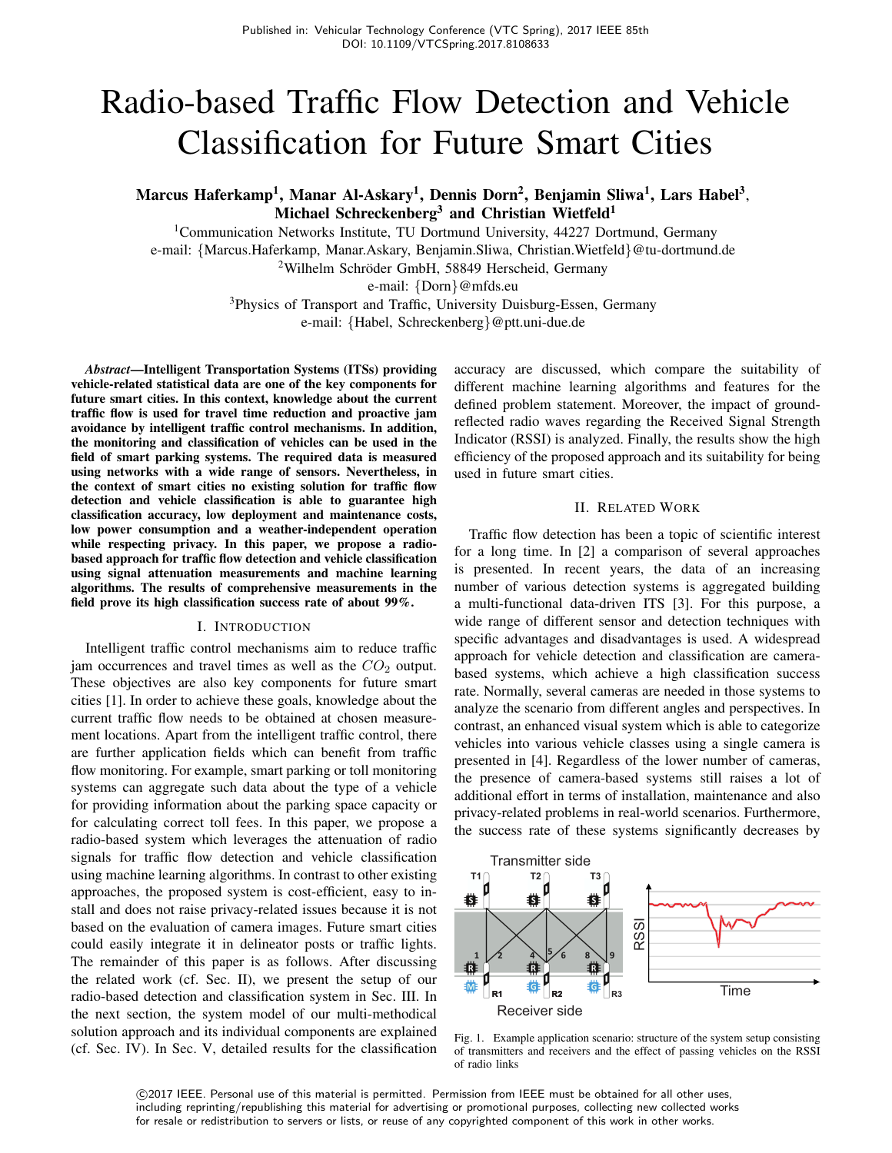# Radio-based Traffic Flow Detection and Vehicle Classification for Future Smart Cities

Marcus Haferkamp<sup>1</sup>, Manar Al-Askary<sup>1</sup>, Dennis Dorn<sup>2</sup>, Benjamin Sliwa<sup>1</sup>, Lars Habel<sup>3</sup>, Michael Schreckenberg<sup>3</sup> and Christian Wietfeld<sup>1</sup>

<sup>1</sup>Communication Networks Institute, TU Dortmund University, 44227 Dortmund, Germany e-mail: {Marcus.Haferkamp, Manar.Askary, Benjamin.Sliwa, Christian.Wietfeld}@tu-dortmund.de  $2$ Wilhelm Schröder GmbH, 58849 Herscheid, Germany

e-mail: {Dorn}@mfds.eu

<sup>3</sup>Physics of Transport and Traffic, University Duisburg-Essen, Germany e-mail: {Habel, Schreckenberg}@ptt.uni-due.de

*Abstract*—Intelligent Transportation Systems (ITSs) providing vehicle-related statistical data are one of the key components for future smart cities. In this context, knowledge about the current traffic flow is used for travel time reduction and proactive jam avoidance by intelligent traffic control mechanisms. In addition, the monitoring and classification of vehicles can be used in the field of smart parking systems. The required data is measured using networks with a wide range of sensors. Nevertheless, in the context of smart cities no existing solution for traffic flow detection and vehicle classification is able to guarantee high classification accuracy, low deployment and maintenance costs, low power consumption and a weather-independent operation while respecting privacy. In this paper, we propose a radiobased approach for traffic flow detection and vehicle classification using signal attenuation measurements and machine learning algorithms. The results of comprehensive measurements in the field prove its high classification success rate of about 99%.

#### I. INTRODUCTION

Intelligent traffic control mechanisms aim to reduce traffic jam occurrences and travel times as well as the  $CO<sub>2</sub>$  output. These objectives are also key components for future smart cities [1]. In order to achieve these goals, knowledge about the current traffic flow needs to be obtained at chosen measurement locations. Apart from the intelligent traffic control, there are further application fields which can benefit from traffic flow monitoring. For example, smart parking or toll monitoring systems can aggregate such data about the type of a vehicle for providing information about the parking space capacity or for calculating correct toll fees. In this paper, we propose a radio-based system which leverages the attenuation of radio signals for traffic flow detection and vehicle classification using machine learning algorithms. In contrast to other existing approaches, the proposed system is cost-efficient, easy to install and does not raise privacy-related issues because it is not based on the evaluation of camera images. Future smart cities could easily integrate it in delineator posts or traffic lights. The remainder of this paper is as follows. After discussing the related work (cf. Sec. II), we present the setup of our radio-based detection and classification system in Sec. III. In the next section, the system model of our multi-methodical solution approach and its individual components are explained (cf. Sec. IV). In Sec. V, detailed results for the classification accuracy are discussed, which compare the suitability of different machine learning algorithms and features for the defined problem statement. Moreover, the impact of groundreflected radio waves regarding the Received Signal Strength Indicator (RSSI) is analyzed. Finally, the results show the high efficiency of the proposed approach and its suitability for being used in future smart cities.

## II. RELATED WORK

Traffic flow detection has been a topic of scientific interest for a long time. In [2] a comparison of several approaches is presented. In recent years, the data of an increasing number of various detection systems is aggregated building a multi-functional data-driven ITS [3]. For this purpose, a wide range of different sensor and detection techniques with specific advantages and disadvantages is used. A widespread approach for vehicle detection and classification are camerabased systems, which achieve a high classification success rate. Normally, several cameras are needed in those systems to analyze the scenario from different angles and perspectives. In contrast, an enhanced visual system which is able to categorize vehicles into various vehicle classes using a single camera is presented in [4]. Regardless of the lower number of cameras, the presence of camera-based systems still raises a lot of additional effort in terms of installation, maintenance and also privacy-related problems in real-world scenarios. Furthermore, the success rate of these systems significantly decreases by



Fig. 1. Example application scenario: structure of the system setup consisting of transmitters and receivers and the effect of passing vehicles on the RSSI of radio links

 c 2017 IEEE. Personal use of this material is permitted. Permission from IEEE must be obtained for all other uses, including reprinting/republishing this material for advertising or promotional purposes, collecting new collected works for resale or redistribution to servers or lists, or reuse of any copyrighted component of this work in other works.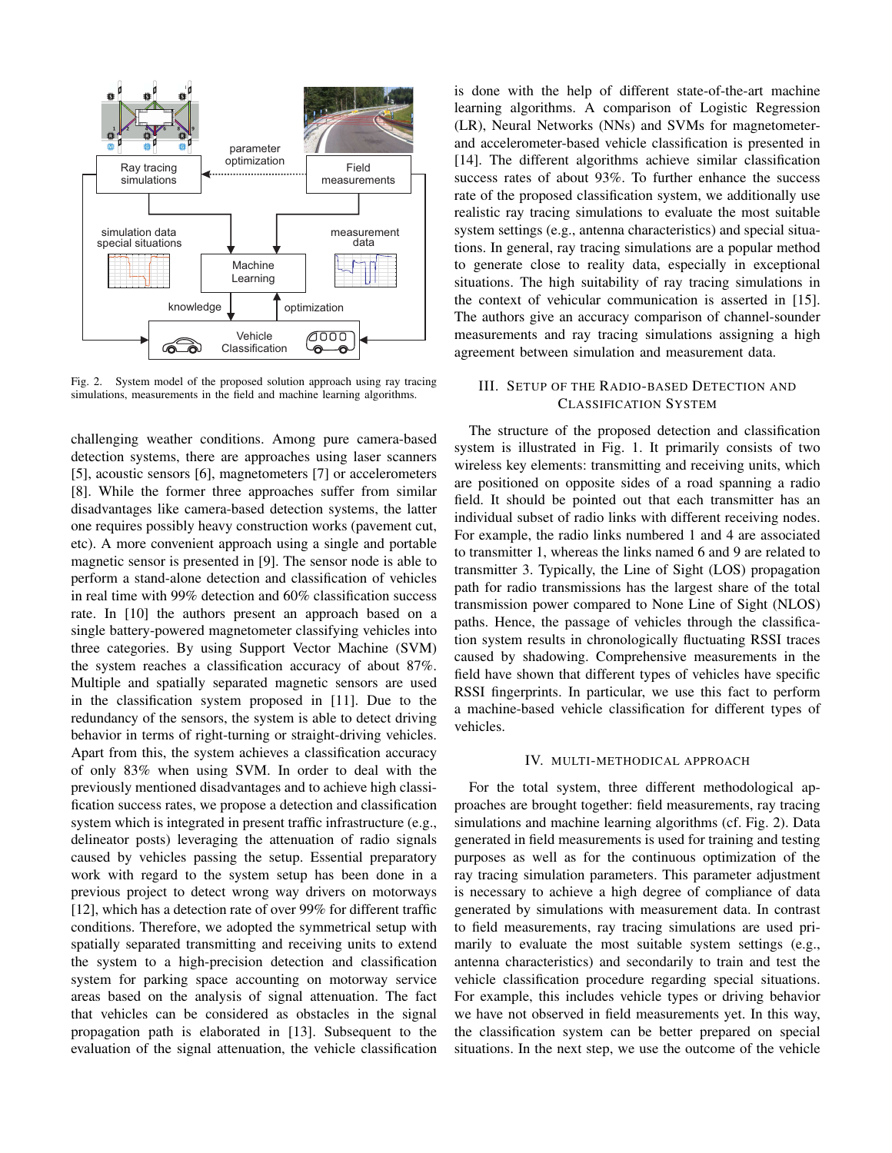

Fig. 2. System model of the proposed solution approach using ray tracing simulations, measurements in the field and machine learning algorithms.

challenging weather conditions. Among pure camera-based detection systems, there are approaches using laser scanners [5], acoustic sensors [6], magnetometers [7] or accelerometers [8]. While the former three approaches suffer from similar disadvantages like camera-based detection systems, the latter one requires possibly heavy construction works (pavement cut, etc). A more convenient approach using a single and portable magnetic sensor is presented in [9]. The sensor node is able to perform a stand-alone detection and classification of vehicles in real time with 99% detection and 60% classification success rate. In [10] the authors present an approach based on a single battery-powered magnetometer classifying vehicles into three categories. By using Support Vector Machine (SVM) the system reaches a classification accuracy of about 87%. Multiple and spatially separated magnetic sensors are used in the classification system proposed in [11]. Due to the redundancy of the sensors, the system is able to detect driving behavior in terms of right-turning or straight-driving vehicles. Apart from this, the system achieves a classification accuracy of only 83% when using SVM. In order to deal with the previously mentioned disadvantages and to achieve high classification success rates, we propose a detection and classification system which is integrated in present traffic infrastructure (e.g., delineator posts) leveraging the attenuation of radio signals caused by vehicles passing the setup. Essential preparatory work with regard to the system setup has been done in a previous project to detect wrong way drivers on motorways [12], which has a detection rate of over 99% for different traffic conditions. Therefore, we adopted the symmetrical setup with spatially separated transmitting and receiving units to extend the system to a high-precision detection and classification system for parking space accounting on motorway service areas based on the analysis of signal attenuation. The fact that vehicles can be considered as obstacles in the signal propagation path is elaborated in [13]. Subsequent to the evaluation of the signal attenuation, the vehicle classification

is done with the help of different state-of-the-art machine learning algorithms. A comparison of Logistic Regression (LR), Neural Networks (NNs) and SVMs for magnetometerand accelerometer-based vehicle classification is presented in [14]. The different algorithms achieve similar classification success rates of about 93%. To further enhance the success rate of the proposed classification system, we additionally use realistic ray tracing simulations to evaluate the most suitable system settings (e.g., antenna characteristics) and special situations. In general, ray tracing simulations are a popular method to generate close to reality data, especially in exceptional situations. The high suitability of ray tracing simulations in the context of vehicular communication is asserted in [15]. The authors give an accuracy comparison of channel-sounder measurements and ray tracing simulations assigning a high agreement between simulation and measurement data.

# III. SETUP OF THE RADIO-BASED DETECTION AND **CLASSIFICATION SYSTEM**

The structure of the proposed detection and classification system is illustrated in Fig. 1. It primarily consists of two wireless key elements: transmitting and receiving units, which are positioned on opposite sides of a road spanning a radio field. It should be pointed out that each transmitter has an individual subset of radio links with different receiving nodes. For example, the radio links numbered 1 and 4 are associated to transmitter 1, whereas the links named 6 and 9 are related to transmitter 3. Typically, the Line of Sight (LOS) propagation path for radio transmissions has the largest share of the total transmission power compared to None Line of Sight (NLOS) paths. Hence, the passage of vehicles through the classification system results in chronologically fluctuating RSSI traces caused by shadowing. Comprehensive measurements in the field have shown that different types of vehicles have specific RSSI fingerprints. In particular, we use this fact to perform a machine-based vehicle classification for different types of vehicles.

# IV. MULTI-METHODICAL APPROACH

For the total system, three different methodological approaches are brought together: field measurements, ray tracing simulations and machine learning algorithms (cf. Fig. 2). Data generated in field measurements is used for training and testing purposes as well as for the continuous optimization of the ray tracing simulation parameters. This parameter adjustment is necessary to achieve a high degree of compliance of data generated by simulations with measurement data. In contrast to field measurements, ray tracing simulations are used primarily to evaluate the most suitable system settings (e.g., antenna characteristics) and secondarily to train and test the vehicle classification procedure regarding special situations. For example, this includes vehicle types or driving behavior we have not observed in field measurements yet. In this way, the classification system can be better prepared on special situations. In the next step, we use the outcome of the vehicle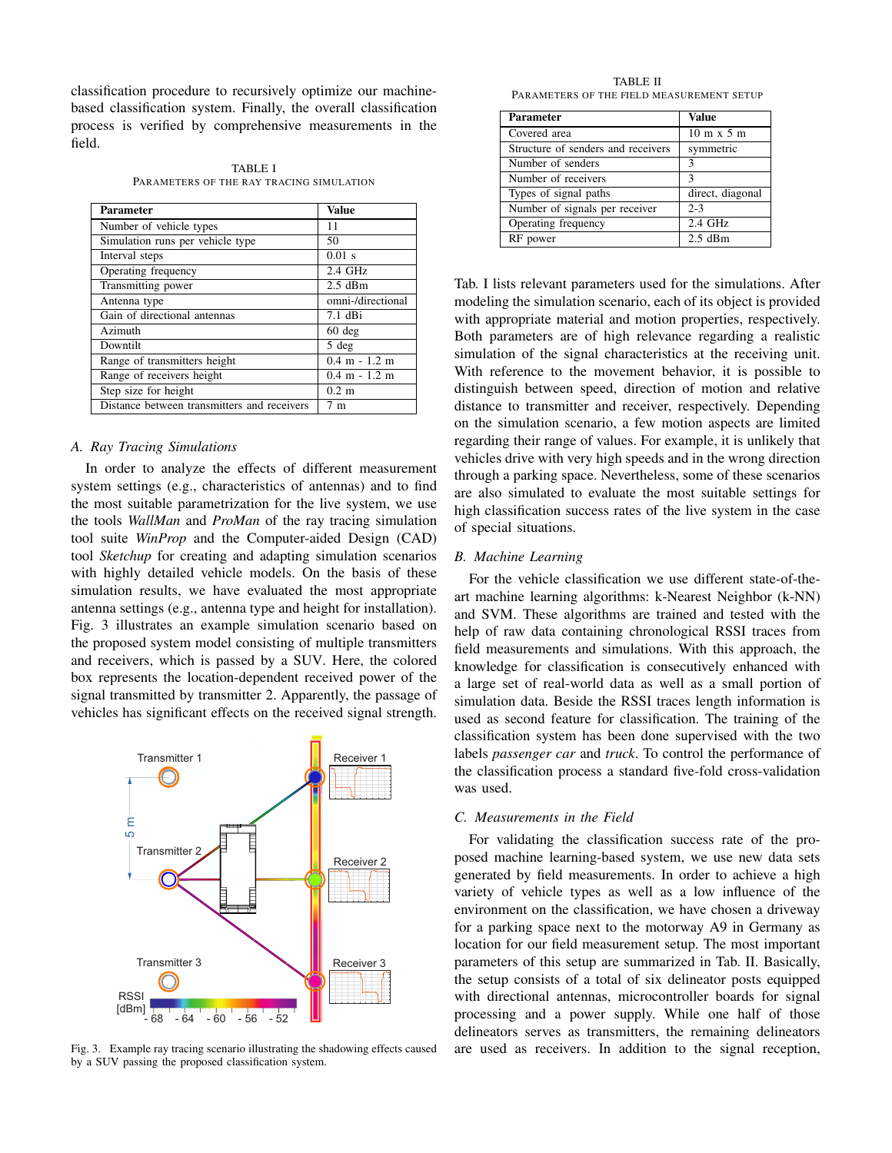classification procedure to recursively optimize our machinebased classification system. Finally, the overall classification process is verified by comprehensive measurements in the field.

**TABLE I** PARAMETERS OF THE RAY TRACING SIMULATION

| <b>Parameter</b>                            | Value                           |
|---------------------------------------------|---------------------------------|
| Number of vehicle types                     | 11                              |
| Simulation runs per vehicle type            | 50                              |
| Interval steps                              | $0.01$ s                        |
| Operating frequency                         | $2.4$ GHz                       |
| Transmitting power                          | $2.5$ dBm                       |
| Antenna type                                | omni-/directional               |
| Gain of directional antennas                | $7.1$ dBi                       |
| Azimuth                                     | $60$ deg                        |
| Downtilt                                    | 5 deg                           |
| Range of transmitters height                | $0.4$ m $-1.2$ m                |
| Range of receivers height                   | $0.4 \text{ m} - 1.2 \text{ m}$ |
| Step size for height                        | $0.2 \text{ m}$                 |
| Distance between transmitters and receivers | 7 m                             |

# A. Ray Tracing Simulations

In order to analyze the effects of different measurement system settings (e.g., characteristics of antennas) and to find the most suitable parametrization for the live system, we use the tools WallMan and ProMan of the ray tracing simulation tool suite *WinProp* and the Computer-aided Design (CAD) tool Sketchup for creating and adapting simulation scenarios with highly detailed vehicle models. On the basis of these simulation results, we have evaluated the most appropriate antenna settings (e.g., antenna type and height for installation). Fig. 3 illustrates an example simulation scenario based on the proposed system model consisting of multiple transmitters and receivers, which is passed by a SUV. Here, the colored box represents the location-dependent received power of the signal transmitted by transmitter 2. Apparently, the passage of vehicles has significant effects on the received signal strength.



Fig. 3. Example ray tracing scenario illustrating the shadowing effects caused by a SUV passing the proposed classification system.

**TABLE II** PARAMETERS OF THE FIELD MEASUREMENT SETUP

| <b>Parameter</b>                   | Value                             |
|------------------------------------|-----------------------------------|
| Covered area                       | $10 \text{ m} \times 5 \text{ m}$ |
| Structure of senders and receivers | symmetric                         |
| Number of senders                  | 3                                 |
| Number of receivers                | 3                                 |
| Types of signal paths              | direct, diagonal                  |
| Number of signals per receiver     | $2 - 3$                           |
| Operating frequency                | 2.4 GHz                           |
| RF power                           | $2.5$ dBm                         |

Tab. I lists relevant parameters used for the simulations. After modeling the simulation scenario, each of its object is provided with appropriate material and motion properties, respectively. Both parameters are of high relevance regarding a realistic simulation of the signal characteristics at the receiving unit. With reference to the movement behavior, it is possible to distinguish between speed, direction of motion and relative distance to transmitter and receiver, respectively. Depending on the simulation scenario, a few motion aspects are limited regarding their range of values. For example, it is unlikely that vehicles drive with very high speeds and in the wrong direction through a parking space. Nevertheless, some of these scenarios are also simulated to evaluate the most suitable settings for high classification success rates of the live system in the case of special situations.

### **B.** Machine Learning

For the vehicle classification we use different state-of-theart machine learning algorithms: k-Nearest Neighbor (k-NN) and SVM. These algorithms are trained and tested with the help of raw data containing chronological RSSI traces from field measurements and simulations. With this approach, the knowledge for classification is consecutively enhanced with a large set of real-world data as well as a small portion of simulation data. Beside the RSSI traces length information is used as second feature for classification. The training of the classification system has been done supervised with the two labels *passenger car* and *truck*. To control the performance of the classification process a standard five-fold cross-validation was used.

## C. Measurements in the Field

For validating the classification success rate of the proposed machine learning-based system, we use new data sets generated by field measurements. In order to achieve a high variety of vehicle types as well as a low influence of the environment on the classification, we have chosen a driveway for a parking space next to the motorway A9 in Germany as location for our field measurement setup. The most important parameters of this setup are summarized in Tab. II. Basically, the setup consists of a total of six delineator posts equipped with directional antennas, microcontroller boards for signal processing and a power supply. While one half of those delineators serves as transmitters, the remaining delineators are used as receivers. In addition to the signal reception,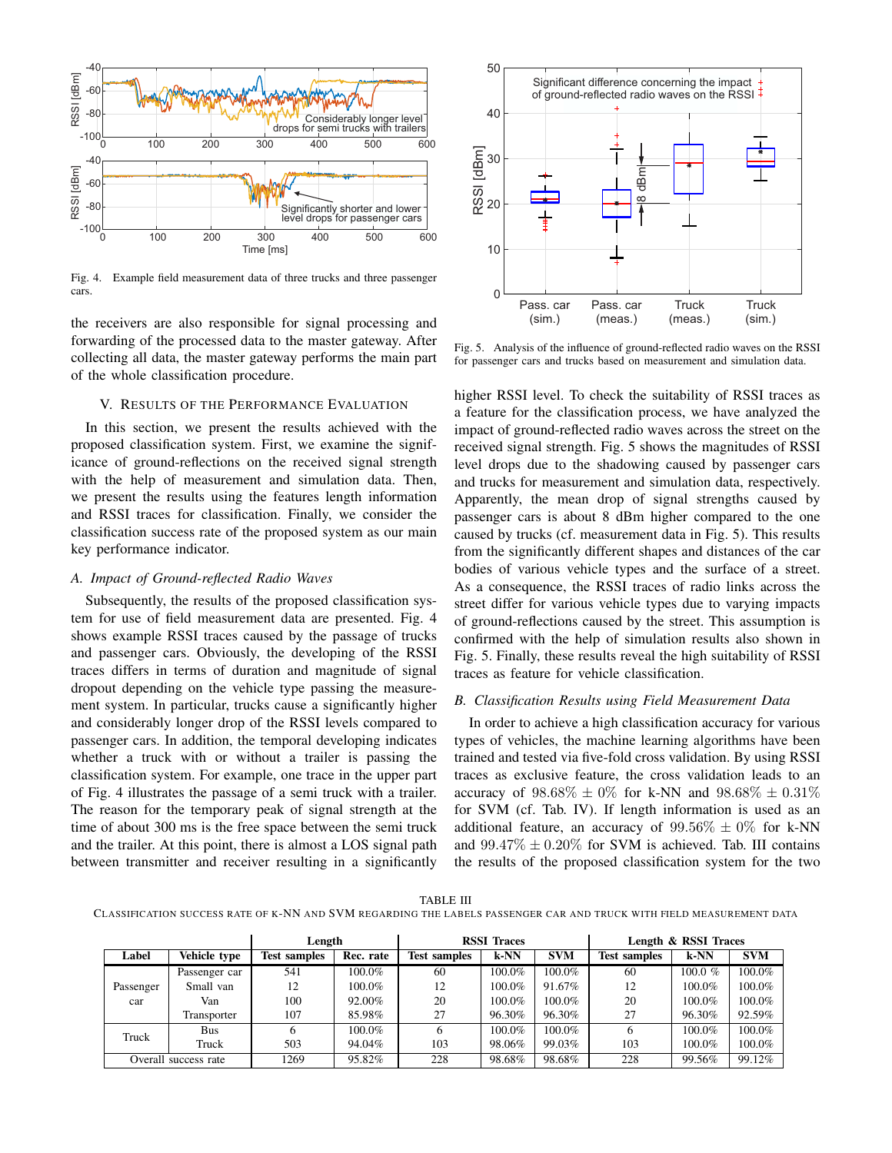

Fig. 4. Example field measurement data of three trucks and three passenger cars.

the receivers are also responsible for signal processing and forwarding of the processed data to the master gateway. After collecting all data, the master gateway performs the main part of the whole classification procedure.

### V. RESULTS OF THE PERFORMANCE EVALUATION

In this section, we present the results achieved with the proposed classification system. First, we examine the significance of ground-reflections on the received signal strength with the help of measurement and simulation data. Then, we present the results using the features length information and RSSI traces for classification. Finally, we consider the classification success rate of the proposed system as our main key performance indicator.

# A. Impact of Ground-reflected Radio Waves

Subsequently, the results of the proposed classification system for use of field measurement data are presented. Fig. 4 shows example RSSI traces caused by the passage of trucks and passenger cars. Obviously, the developing of the RSSI traces differs in terms of duration and magnitude of signal dropout depending on the vehicle type passing the measurement system. In particular, trucks cause a significantly higher and considerably longer drop of the RSSI levels compared to passenger cars. In addition, the temporal developing indicates whether a truck with or without a trailer is passing the classification system. For example, one trace in the upper part of Fig. 4 illustrates the passage of a semi truck with a trailer. The reason for the temporary peak of signal strength at the time of about 300 ms is the free space between the semi truck and the trailer. At this point, there is almost a LOS signal path between transmitter and receiver resulting in a significantly



Fig. 5. Analysis of the influence of ground-reflected radio waves on the RSSI for passenger cars and trucks based on measurement and simulation data.

higher RSSI level. To check the suitability of RSSI traces as a feature for the classification process, we have analyzed the impact of ground-reflected radio waves across the street on the received signal strength. Fig. 5 shows the magnitudes of RSSI level drops due to the shadowing caused by passenger cars and trucks for measurement and simulation data, respectively. Apparently, the mean drop of signal strengths caused by passenger cars is about 8 dBm higher compared to the one caused by trucks (cf. measurement data in Fig. 5). This results from the significantly different shapes and distances of the car bodies of various vehicle types and the surface of a street. As a consequence, the RSSI traces of radio links across the street differ for various vehicle types due to varying impacts of ground-reflections caused by the street. This assumption is confirmed with the help of simulation results also shown in Fig. 5. Finally, these results reveal the high suitability of RSSI traces as feature for vehicle classification.

## B. Classification Results using Field Measurement Data

In order to achieve a high classification accuracy for various types of vehicles, the machine learning algorithms have been trained and tested via five-fold cross validation. By using RSSI traces as exclusive feature, the cross validation leads to an accuracy of  $98.68\% \pm 0\%$  for k-NN and  $98.68\% \pm 0.31\%$ for SVM (cf. Tab. IV). If length information is used as an additional feature, an accuracy of  $99.56\% \pm 0\%$  for k-NN and  $99.47\% \pm 0.20\%$  for SVM is achieved. Tab. III contains the results of the proposed classification system for the two

**TABLE III** CLASSIFICATION SUCCESS RATE OF K-NN AND SVM REGARDING THE LABELS PASSENGER CAR AND TRUCK WITH FIELD MEASUREMENT DATA

|                  |                      | <b>RSSI</b> Traces<br>Length |           | Length & RSSI Traces |        |            |                     |         |            |
|------------------|----------------------|------------------------------|-----------|----------------------|--------|------------|---------------------|---------|------------|
| Label            | Vehicle type         | <b>Test samples</b>          | Rec. rate | <b>Test samples</b>  | $k-NN$ | <b>SVM</b> | <b>Test samples</b> | $k$ -NN | <b>SVM</b> |
| Passenger<br>car | Passenger car        | 541                          | $100.0\%$ | 60                   | 100.0% | 100.0%     | 60                  | 100.0 % | 100.0%     |
|                  | Small van            | 12                           | $100.0\%$ | 12                   | 100.0% | 91.67%     | 12                  | 100.0%  | 100.0%     |
|                  | Van                  | 100                          | 92.00%    | 20                   | 100.0% | 100.0%     | 20                  | 100.0%  | 100.0%     |
|                  | Transporter          | 107                          | 85.98%    | 27                   | 96.30% | 96.30%     | 27                  | 96.30%  | 92.59%     |
| Truck            | Bus                  |                              | $100.0\%$ |                      | 100.0% | 100.0%     | 6                   | 100.0%  | 100.0%     |
|                  | Truck                | 503                          | 94.04%    | 103                  | 98.06% | 99.03%     | 103                 | 100.0%  | 100.0%     |
|                  | Overall success rate | 1269                         | 95.82%    | 228                  | 98.68% | 98.68%     | 228                 | 99.56%  | 99.12%     |